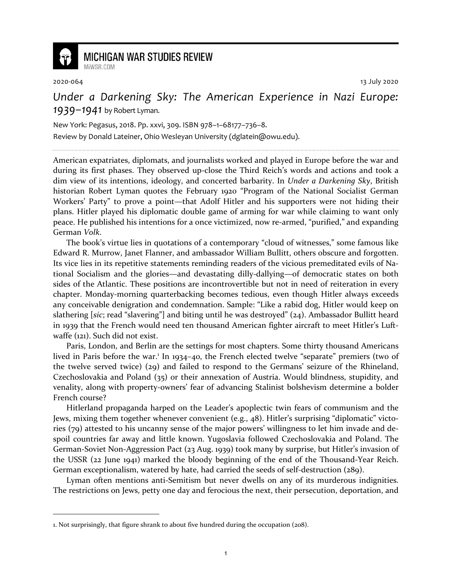

## **MICHIGAN WAR STUDIES REVIEW** MiWSR.COM

2020-064 13 July 2020

*Under a Darkening Sky: The American Experience in Nazi Europe: 1939–1941* by Robert Lyman.

New York: Pegasus, 2018. Pp. xxvi, 309. ISBN 978–1–68177–736–8.

Review by Donald Lateiner, Ohio Wesleyan University (dglatein@owu.edu).

American expatriates, diplomats, and journalists worked and played in Europe before the war and during its first phases. They observed up-close the Third Reich's words and actions and took a dim view of its intentions, ideology, and concerted barbarity. In *Under a Darkening Sky*, British historian Robert Lyman quotes the February 1920 "Program of the National Socialist German Workers' Party" to prove a point—that Adolf Hitler and his supporters were not hiding their plans. Hitler played his diplomatic double game of arming for war while claiming to want only peace. He published his intentions for a once victimized, now re-armed, "purified," and expanding German *Volk*.

The book's virtue lies in quotations of a contemporary "cloud of witnesses," some famous like Edward R. Murrow, Janet Flanner, and ambassador William Bullitt, others obscure and forgotten. Its vice lies in its repetitive statements reminding readers of the vicious premeditated evils of National Socialism and the glories—and devastating dilly-dallying—of democratic states on both sides of the Atlantic. These positions are incontrovertible but not in need of reiteration in every chapter. Monday-morning quarterbacking becomes tedious, even though Hitler always exceeds any conceivable denigration and condemnation. Sample: "Like a rabid dog, Hitler would keep on slathering [*sic*; read "slavering"] and biting until he was destroyed" (24). Ambassador Bullitt heard in 1939 that the French would need ten thousand American fighter aircraft to meet Hitler's Luftwaffe (121). Such did not exist.

Paris, London, and Berlin are the settings for most chapters. Some thirty thousand Americans lived in Paris before the war.<sup>1</sup> In 1934-40, the French elected twelve "separate" premiers (two of the twelve served twice) (29) and failed to respond to the Germans' seizure of the Rhineland, Czechoslovakia and Poland (35) or their annexation of Austria. Would blindness, stupidity, and venality, along with property-owners' fear of advancing Stalinist bolshevism determine a bolder French course?

Hitlerland propaganda harped on the Leader's apoplectic twin fears of communism and the Jews, mixing them together whenever convenient (e.g., 48). Hitler's surprising "diplomatic" victories (79) attested to his uncanny sense of the major powers' willingness to let him invade and despoil countries far away and little known. Yugoslavia followed Czechoslovakia and Poland. The German-Soviet Non-Aggression Pact (23 Aug. 1939) took many by surprise, but Hitler's invasion of the USSR (22 June 1941) marked the bloody beginning of the end of the Thousand-Year Reich. German exceptionalism, watered by hate, had carried the seeds of self-destruction (289).

Lyman often mentions anti-Semitism but never dwells on any of its murderous indignities. The restrictions on Jews, petty one day and ferocious the next, their persecution, deportation, and

<sup>1.</sup> Not surprisingly, that figure shrank to about five hundred during the occupation (208).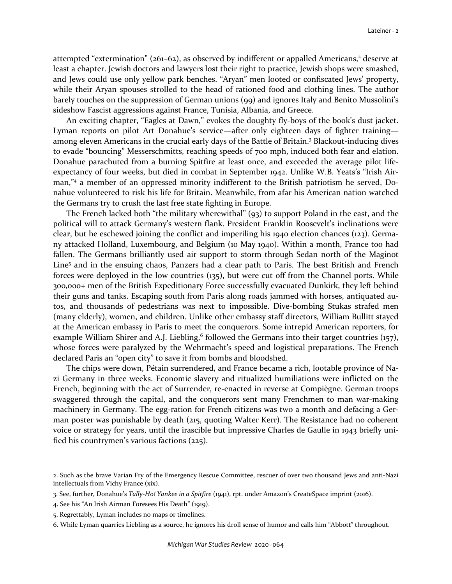attempted "extermination" (261–62), as observed by indifferent or appalled Americans,<sup>2</sup> deserve at least a chapter. Jewish doctors and lawyers lost their right to practice, Jewish shops were smashed, and Jews could use only yellow park benches. "Aryan" men looted or confiscated Jews' property, while their Aryan spouses strolled to the head of rationed food and clothing lines. The author barely touches on the suppression of German unions (99) and ignores Italy and Benito Mussolini's sideshow Fascist aggressions against France, Tunisia, Albania, and Greece.

An exciting chapter, "Eagles at Dawn," evokes the doughty fly-boys of the book's dust jacket. Lyman reports on pilot Art Donahue's service—after only eighteen days of fighter training among eleven Americans in the crucial early days of the Battle of Britain.<sup>3</sup> Blackout-inducing dives to evade "bouncing" Messerschmitts, reaching speeds of 700 mph, induced both fear and elation. Donahue parachuted from a burning Spitfire at least once, and exceeded the average pilot lifeexpectancy of four weeks, but died in combat in September 1942. Unlike W.B. Yeats's "Irish Airman,"<sup>4</sup> a member of an oppressed minority indifferent to the British patriotism he served, Donahue volunteered to risk his life for Britain. Meanwhile, from afar his American nation watched the Germans try to crush the last free state fighting in Europe.

The French lacked both "the military wherewithal" (93) to support Poland in the east, and the political will to attack Germany's western flank. President Franklin Roosevelt's inclinations were clear, but he eschewed joining the conflict and imperiling his 1940 election chances (123). Germany attacked Holland, Luxembourg, and Belgium (10 May 1940). Within a month, France too had fallen. The Germans brilliantly used air support to storm through Sedan north of the Maginot Line<sup>5</sup> and in the ensuing chaos, Panzers had a clear path to Paris. The best British and French forces were deployed in the low countries (135), but were cut off from the Channel ports. While 300,000+ men of the British Expeditionary Force successfully evacuated Dunkirk, they left behind their guns and tanks. Escaping south from Paris along roads jammed with horses, antiquated autos, and thousands of pedestrians was next to impossible. Dive-bombing Stukas strafed men (many elderly), women, and children. Unlike other embassy staff directors, William Bullitt stayed at the American embassy in Paris to meet the conquerors. Some intrepid American reporters, for example William Shirer and A.J. Liebling,<sup>6</sup> followed the Germans into their target countries  $(157)$ , whose forces were paralyzed by the Wehrmacht's speed and logistical preparations. The French declared Paris an "open city" to save it from bombs and bloodshed.

The chips were down, Pétain surrendered, and France became a rich, lootable province of Nazi Germany in three weeks. Economic slavery and ritualized humiliations were inflicted on the French, beginning with the act of Surrender, re-enacted in reverse at Compiègne. German troops swaggered through the capital, and the conquerors sent many Frenchmen to man war-making machinery in Germany. The egg-ration for French citizens was two a month and defacing a German poster was punishable by death (215, quoting Walter Kerr). The Resistance had no coherent voice or strategy for years, until the irascible but impressive Charles de Gaulle in 1943 briefly unified his countrymen's various factions (225).

<sup>2.</sup> Such as the brave Varian Fry of the Emergency Rescue Committee, rescuer of over two thousand Jews and anti-Nazi intellectuals from Vichy France (xix).

<sup>3.</sup> See, further, Donahue's *Tally-Ho! Yankee in a Spitfire* (1941), rpt. under Amazon's CreateSpace imprint (2016).

<sup>4.</sup> See his "An Irish Airman Foresees His Death" (1919).

<sup>5.</sup> Regrettably, Lyman includes no maps or timelines.

<sup>6.</sup> While Lyman quarries Liebling as a source, he ignores his droll sense of humor and calls him "Abbott" throughout.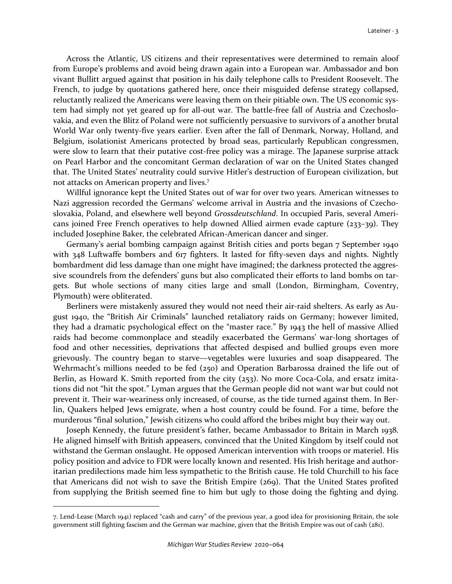Across the Atlantic, US citizens and their representatives were determined to remain aloof from Europe's problems and avoid being drawn again into a European war. Ambassador and bon vivant Bullitt argued against that position in his daily telephone calls to President Roosevelt. The French, to judge by quotations gathered here, once their misguided defense strategy collapsed, reluctantly realized the Americans were leaving them on their pitiable own. The US economic system had simply not yet geared up for all-out war. The battle-free fall of Austria and Czechoslovakia, and even the Blitz of Poland were not sufficiently persuasive to survivors of a another brutal World War only twenty-five years earlier. Even after the fall of Denmark, Norway, Holland, and Belgium, isolationist Americans protected by broad seas, particularly Republican congressmen, were slow to learn that their putative cost-free policy was a mirage. The Japanese surprise attack on Pearl Harbor and the concomitant German declaration of war on the United States changed that. The United States' neutrality could survive Hitler's destruction of European civilization, but not attacks on American property and lives.<sup>7</sup>

Willful ignorance kept the United States out of war for over two years. American witnesses to Nazi aggression recorded the Germans' welcome arrival in Austria and the invasions of Czechoslovakia, Poland, and elsewhere well beyond *Grossdeutschland*. In occupied Paris, several Americans joined Free French operatives to help downed Allied airmen evade capture (233–39). They included Josephine Baker, the celebrated African-American dancer and singer.

Germany's aerial bombing campaign against British cities and ports began 7 September 1940 with 348 Luftwaffe bombers and 617 fighters. It lasted for fifty-seven days and nights. Nightly bombardment did less damage than one might have imagined; the darkness protected the aggressive scoundrels from the defenders' guns but also complicated their efforts to land bombs on targets. But whole sections of many cities large and small (London, Birmingham, Coventry, Plymouth) were obliterated.

Berliners were mistakenly assured they would not need their air-raid shelters. As early as August 1940, the "British Air Criminals" launched retaliatory raids on Germany; however limited, they had a dramatic psychological effect on the "master race." By 1943 the hell of massive Allied raids had become commonplace and steadily exacerbated the Germans' war-long shortages of food and other necessities, deprivations that affected despised and bullied groups even more grievously. The country began to starve—vegetables were luxuries and soap disappeared. The Wehrmacht's millions needed to be fed (250) and Operation Barbarossa drained the life out of Berlin, as Howard K. Smith reported from the city (253). No more Coca-Cola, and ersatz imitations did not "hit the spot." Lyman argues that the German people did not want war but could not prevent it. Their war-weariness only increased, of course, as the tide turned against them. In Berlin, Quakers helped Jews emigrate, when a host country could be found. For a time, before the murderous "final solution," Jewish citizens who could afford the bribes might buy their way out.

Joseph Kennedy, the future president's father, became Ambassador to Britain in March 1938. He aligned himself with British appeasers, convinced that the United Kingdom by itself could not withstand the German onslaught. He opposed American intervention with troops or materiel. His policy position and advice to FDR were locally known and resented. His Irish heritage and authoritarian predilections made him less sympathetic to the British cause. He told Churchill to his face that Americans did not wish to save the British Empire (269). That the United States profited from supplying the British seemed fine to him but ugly to those doing the fighting and dying.

<sup>7.</sup> Lend-Lease (March 1941) replaced "cash and carry" of the previous year, a good idea for provisioning Britain, the sole government still fighting fascism and the German war machine, given that the British Empire was out of cash (281).